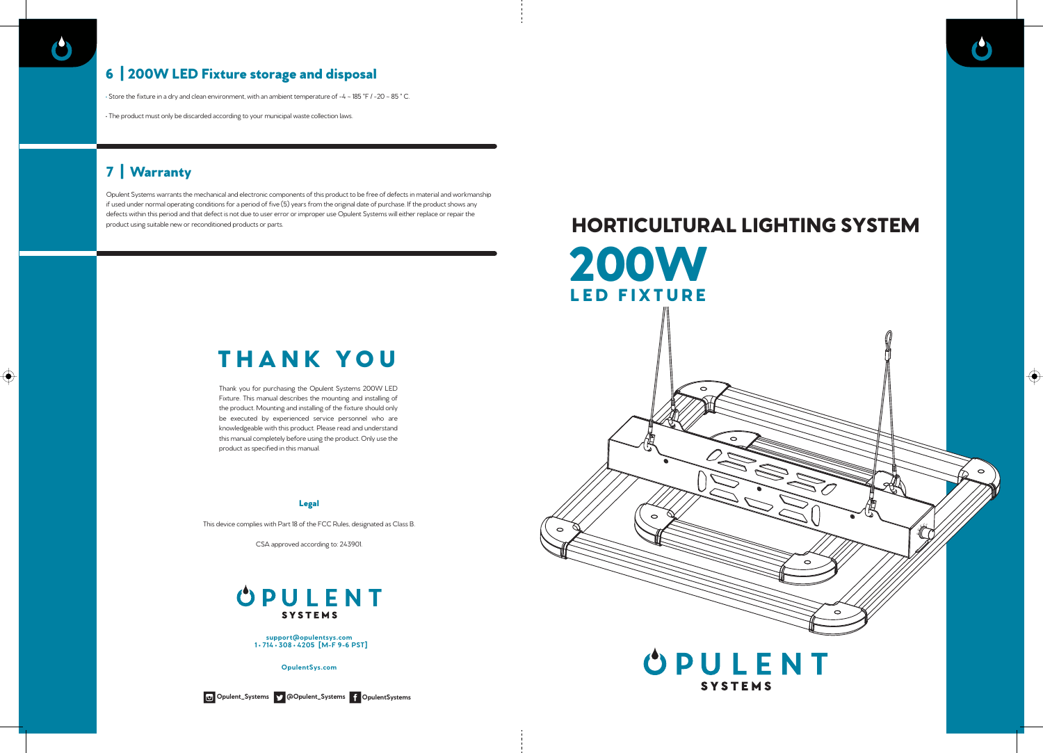$\bigoplus$ 

Thank you for purchasing the Opulent Systems 200W LED Fixture. This manual describes the mounting and installing of the product. Mounting and installing of the fixture should only be executed by experienced service personnel who are knowledgeable with this product. Please read and understand this manual completely before using the product. Only use the product as specified in this manual.

### Legal

This device complies with Part 18 of the FCC Rules, designated as Class B.

CSA approved according to: 243901.

# **OPULENT SYSTEMS**

# THANK YOU

# 7 | Warranty

Opulent Systems warrants the mechanical and electronic components of this product to be free of defects in material and workmanship if used under normal operating conditions for a period of five (5) years from the original date of purchase. If the product shows any defects within this period and that defect is not due to user error or improper use Opulent Systems will either replace or repair the product using suitable new or reconditioned products or parts.

# 6 | 200W LED Fixture storage and disposal

• Store the fixture in a dry and clean environment, with an ambient temperature of -4 ~ 185 °F / -20 ~ 85 ° C.

• The product must only be discarded according to your municipal waste collection laws.

**support@opulentsys.com 1 • 714 • 308 • 4205 [M-F 9-6 PST]**

**OpulentSys.com**



**Opulent\_Systems @Opulent\_Systems OpulentSystems**



 $\bullet$ 

⊕

# **40% 20%** HORTICULTURAL LIGHTING SYSTEM 200W LED FIXTURE